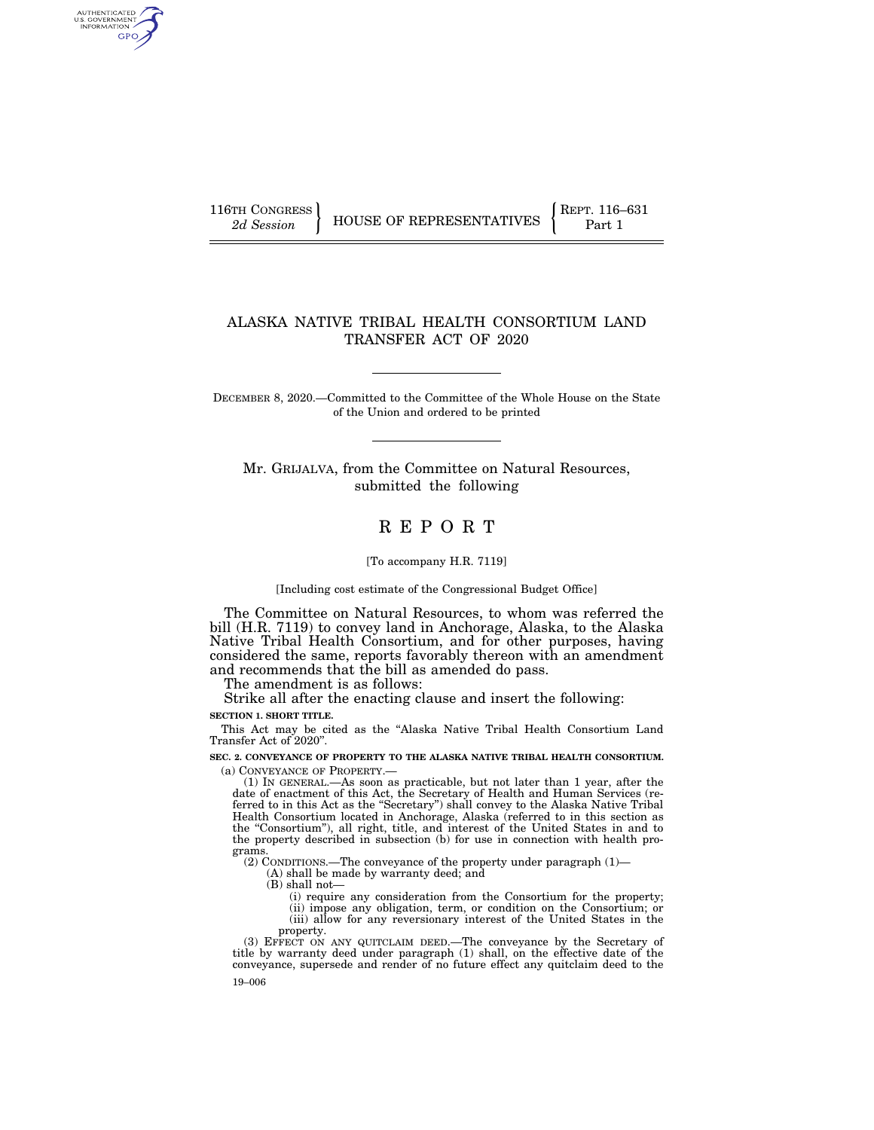AUTHENTICATED<br>U.S. GOVERNMENT<br>INFORMATION GPO

116TH CONGRESS **REPRESENTATIVES** REPRESENTATIVES **Part 1** 

# ALASKA NATIVE TRIBAL HEALTH CONSORTIUM LAND TRANSFER ACT OF 2020

DECEMBER 8, 2020.—Committed to the Committee of the Whole House on the State of the Union and ordered to be printed

Mr. GRIJALVA, from the Committee on Natural Resources, submitted the following

# R E P O R T

[To accompany H.R. 7119]

[Including cost estimate of the Congressional Budget Office]

The Committee on Natural Resources, to whom was referred the bill (H.R. 7119) to convey land in Anchorage, Alaska, to the Alaska Native Tribal Health Consortium, and for other purposes, having considered the same, reports favorably thereon with an amendment and recommends that the bill as amended do pass.

The amendment is as follows:

Strike all after the enacting clause and insert the following:

**SECTION 1. SHORT TITLE.** 

This Act may be cited as the ''Alaska Native Tribal Health Consortium Land Transfer Act of 2020''.

**SEC. 2. CONVEYANCE OF PROPERTY TO THE ALASKA NATIVE TRIBAL HEALTH CONSORTIUM.**  (a) CONVEYANCE OF PROPERTY.—

(1) IN GENERAL.—As soon as practicable, but not later than 1 year, after the date of enactment of this Act, the Secretary of Health and Human Services (referred to in this Act as the ''Secretary'') shall convey to the Alaska Native Tribal Health Consortium located in Anchorage, Alaska (referred to in this section as the ''Consortium''), all right, title, and interest of the United States in and to the property described in subsection (b) for use in connection with health programs.

(2) CONDITIONS.—The conveyance of the property under paragraph (1)—

(A) shall be made by warranty deed; and

(B) shall not—

(i) require any consideration from the Consortium for the property; (ii) impose any obligation, term, or condition on the Consortium; or (iii) allow for any reversionary interest of the United States in the

property. (3) EFFECT ON ANY QUITCLAIM DEED.—The conveyance by the Secretary of

19–006 title by warranty deed under paragraph (1) shall, on the effective date of the conveyance, supersede and render of no future effect any quitclaim deed to the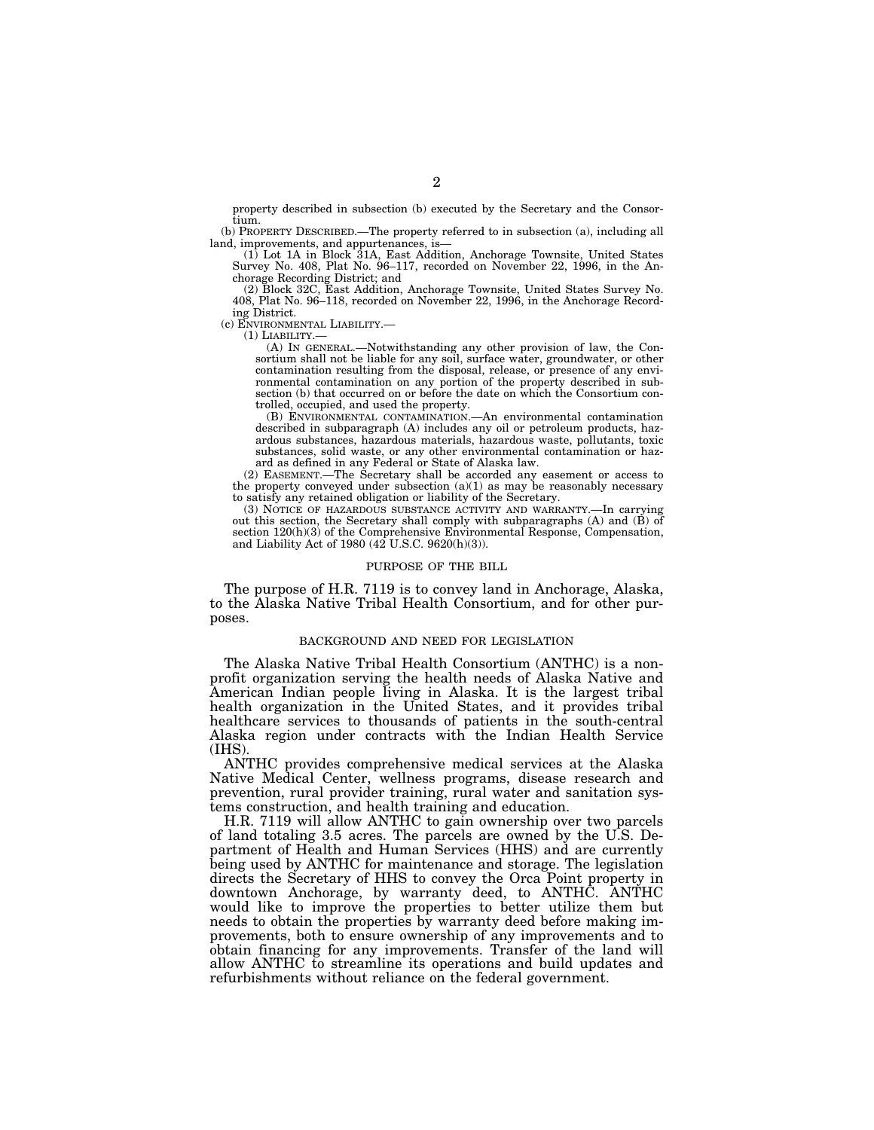property described in subsection (b) executed by the Secretary and the Consortium.

(b) PROPERTY DESCRIBED.—The property referred to in subsection (a), including all land, improvements, and appurtenances, is—

(1) Lot 1A in Block 31A, East Addition, Anchorage Townsite, United States Survey No. 408, Plat No. 96–117, recorded on November 22, 1996, in the Anchorage Recording District; and

(2) Block 32C, East Addition, Anchorage Townsite, United States Survey No. 408, Plat No. 96–118, recorded on November 22, 1996, in the Anchorage Recording District.

(c) ENVIRONMENTAL LIABILITY.—

(1) LIABILITY.—

(A) IN GENERAL.—Notwithstanding any other provision of law, the Consortium shall not be liable for any soil, surface water, groundwater, or other contamination resulting from the disposal, release, or presence of any environmental contamination on any portion of the property described in subsection (b) that occurred on or before the date on which the Consortium controlled, occupied, and used the property.

(B) ENVIRONMENTAL CONTAMINATION.—An environmental contamination described in subparagraph (A) includes any oil or petroleum products, hazardous substances, hazardous materials, hazardous waste, pollutants, toxic substances, solid waste, or any other environmental contamination or hazard as defined in any Federal or State of Alaska law.

(2) EASEMENT.—The Secretary shall be accorded any easement or access to the property conveyed under subsection  $(a)(1)$  as may be reasonably necessary to satisfy any retained obligation or liability of the Secretary.

(3) NOTICE OF HAZARDOUS SUBSTANCE ACTIVITY AND WARRANTY.—In carrying out this section, the Secretary shall comply with subparagraphs  $(A)$  and  $(\tilde{B})$  of section  $120(h)(3)$  of the Comprehensive Environmental Response, Compensation, and Liability Act of 1980 (42 U.S.C. 9620(h)(3)).

#### PURPOSE OF THE BILL

The purpose of H.R. 7119 is to convey land in Anchorage, Alaska, to the Alaska Native Tribal Health Consortium, and for other purposes.

# BACKGROUND AND NEED FOR LEGISLATION

The Alaska Native Tribal Health Consortium (ANTHC) is a nonprofit organization serving the health needs of Alaska Native and American Indian people living in Alaska. It is the largest tribal health organization in the United States, and it provides tribal healthcare services to thousands of patients in the south-central Alaska region under contracts with the Indian Health Service (IHS).

ANTHC provides comprehensive medical services at the Alaska Native Medical Center, wellness programs, disease research and prevention, rural provider training, rural water and sanitation systems construction, and health training and education.

H.R. 7119 will allow ANTHC to gain ownership over two parcels of land totaling 3.5 acres. The parcels are owned by the U.S. Department of Health and Human Services (HHS) and are currently being used by ANTHC for maintenance and storage. The legislation directs the Secretary of HHS to convey the Orca Point property in downtown Anchorage, by warranty deed, to ANTHC. ANTHC would like to improve the properties to better utilize them but needs to obtain the properties by warranty deed before making improvements, both to ensure ownership of any improvements and to obtain financing for any improvements. Transfer of the land will allow ANTHC to streamline its operations and build updates and refurbishments without reliance on the federal government.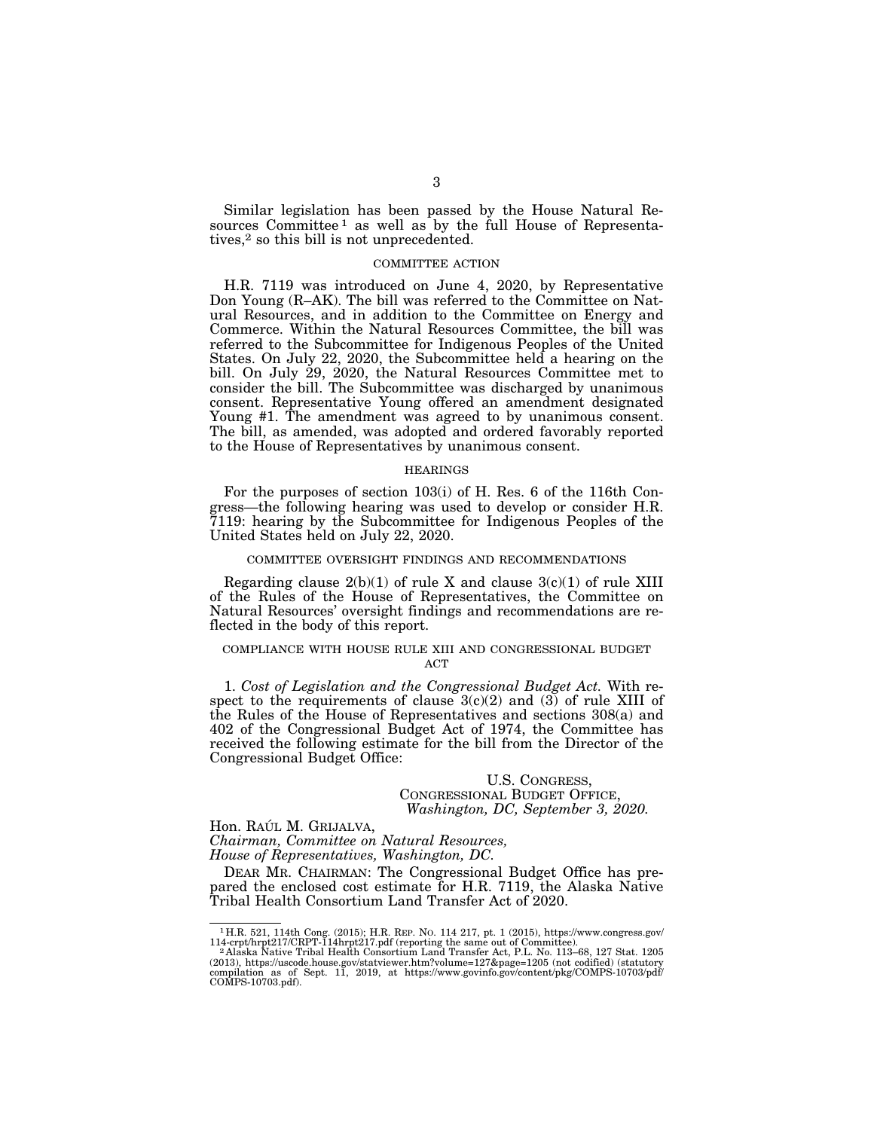Similar legislation has been passed by the House Natural Resources Committee<sup>1</sup> as well as by the full House of Representatives,2 so this bill is not unprecedented.

### COMMITTEE ACTION

H.R. 7119 was introduced on June 4, 2020, by Representative Don Young (R–AK). The bill was referred to the Committee on Natural Resources, and in addition to the Committee on Energy and Commerce. Within the Natural Resources Committee, the bill was referred to the Subcommittee for Indigenous Peoples of the United States. On July 22, 2020, the Subcommittee held a hearing on the bill. On July 29, 2020, the Natural Resources Committee met to consider the bill. The Subcommittee was discharged by unanimous consent. Representative Young offered an amendment designated Young #1. The amendment was agreed to by unanimous consent. The bill, as amended, was adopted and ordered favorably reported to the House of Representatives by unanimous consent.

### HEARINGS

For the purposes of section 103(i) of H. Res. 6 of the 116th Congress—the following hearing was used to develop or consider H.R. 7119: hearing by the Subcommittee for Indigenous Peoples of the United States held on July 22, 2020.

#### COMMITTEE OVERSIGHT FINDINGS AND RECOMMENDATIONS

Regarding clause  $2(b)(1)$  of rule X and clause  $3(c)(1)$  of rule XIII of the Rules of the House of Representatives, the Committee on Natural Resources' oversight findings and recommendations are reflected in the body of this report.

#### COMPLIANCE WITH HOUSE RULE XIII AND CONGRESSIONAL BUDGET ACT

1. *Cost of Legislation and the Congressional Budget Act.* With respect to the requirements of clause  $3(c)(2)$  and  $(3)$  of rule XIII of the Rules of the House of Representatives and sections 308(a) and 402 of the Congressional Budget Act of 1974, the Committee has received the following estimate for the bill from the Director of the Congressional Budget Office:

# U.S. CONGRESS, CONGRESSIONAL BUDGET OFFICE, *Washington, DC, September 3, 2020.*

Hon. RAÚL M. GRIJALVA,

*Chairman, Committee on Natural Resources, House of Representatives, Washington, DC.* 

DEAR MR. CHAIRMAN: The Congressional Budget Office has prepared the enclosed cost estimate for H.R. 7119, the Alaska Native Tribal Health Consortium Land Transfer Act of 2020.

 $^1$  H.R. 521, 114th Cong. (2015); H.R. REP. No. 114 $217$ , pt. 1 (2015), https://www.congress.gov/ 114-crpt/hrpt217/CRPT-114hrpt217.pdf (reporting the same out of Committee).<br><sup>2</sup> Alaska Native Tribal Health Consortium Lan

<sup>(2013),</sup> https://uscode.house.gov/statviewer.htm?volume=127&page=1205 (not codified) (statutory compilation as of Sept. 11, 2019, at https://www.govinfo.gov/content/pkg/COMPS-10703/pdf/ COMPS-10703.pdf).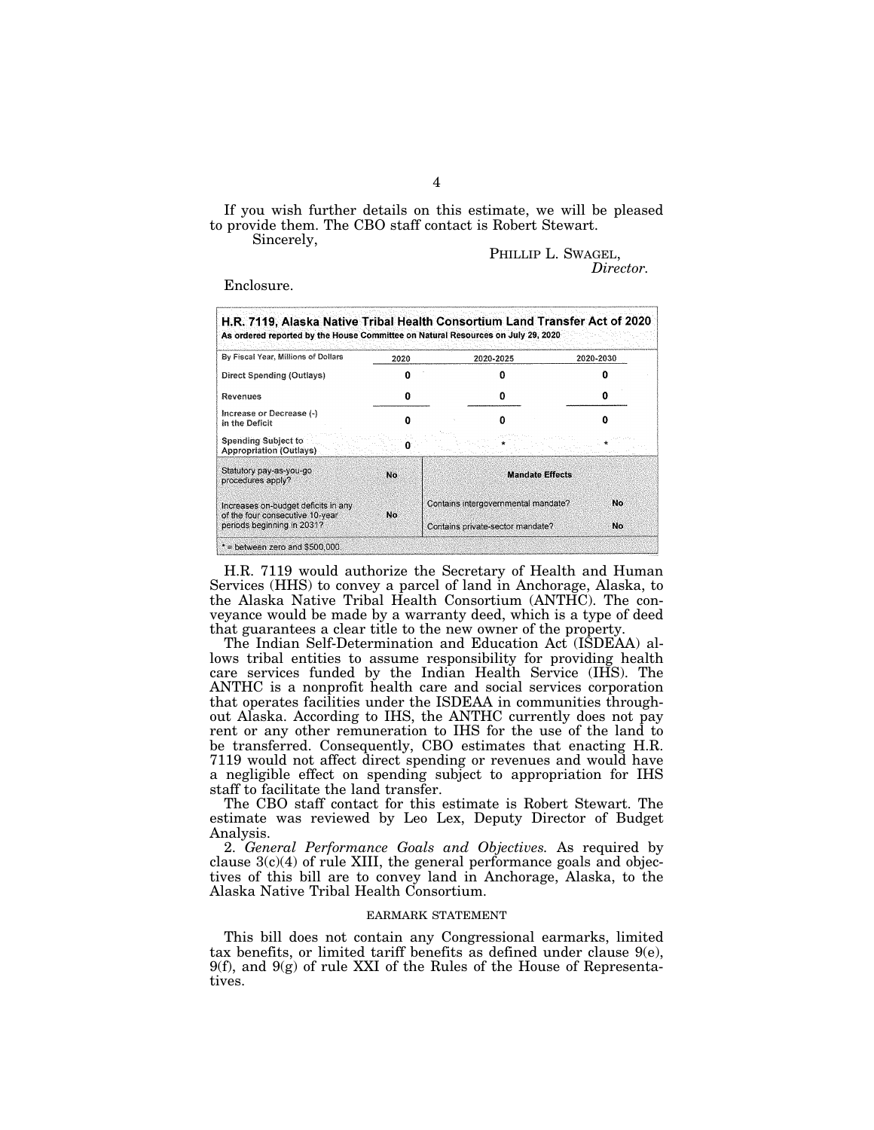If you wish further details on this estimate, we will be pleased to provide them. The CBO staff contact is Robert Stewart.

Sincerely,

PHILLIP L. SWAGEL, *Director.* 

Enclosure.

| H.R. 7119, Alaska Native Tribal Health Consortium Land Transfer Act of 2020<br>As ordered reported by the House Committee on Natural Resources on July 29, 2020 |           |                                     |                                  |           |
|-----------------------------------------------------------------------------------------------------------------------------------------------------------------|-----------|-------------------------------------|----------------------------------|-----------|
| By Fiscal Year, Millions of Dollars                                                                                                                             | 2020      |                                     | 2020-2025                        | 2020-2030 |
| Direct Spending (Outlays)                                                                                                                                       |           |                                     |                                  |           |
| Revenues                                                                                                                                                        |           |                                     |                                  |           |
| Increase or Decrease (-)<br>in the Deficit                                                                                                                      |           |                                     | Ω                                |           |
| <b>Spending Subject to</b><br>Appropriation (Outlays)                                                                                                           |           |                                     |                                  |           |
| Statutory pay-as-you-go<br>procedures apply?                                                                                                                    | No.       | <b>Mandate Effects</b>              |                                  |           |
| Increases on-budget deficits in any.<br>of the four consecutive 10-year                                                                                         | <b>No</b> | Contains intergovernmental mandate? |                                  | No        |
| periods beginning in 2031?                                                                                                                                      |           |                                     | Contains private-sector mandate? | No        |
| $*$ = between zero and \$500,000.                                                                                                                               |           |                                     |                                  |           |

H.R. 7119 would authorize the Secretary of Health and Human Services (HHS) to convey a parcel of land in Anchorage, Alaska, to the Alaska Native Tribal Health Consortium (ANTHC). The conveyance would be made by a warranty deed, which is a type of deed that guarantees a clear title to the new owner of the property.

The Indian Self-Determination and Education Act (ISDEAA) allows tribal entities to assume responsibility for providing health care services funded by the Indian Health Service (IHS). The ANTHC is a nonprofit health care and social services corporation that operates facilities under the ISDEAA in communities throughout Alaska. According to IHS, the ANTHC currently does not pay rent or any other remuneration to IHS for the use of the land to be transferred. Consequently, CBO estimates that enacting H.R. 7119 would not affect direct spending or revenues and would have a negligible effect on spending subject to appropriation for IHS staff to facilitate the land transfer.

The CBO staff contact for this estimate is Robert Stewart. The estimate was reviewed by Leo Lex, Deputy Director of Budget Analysis.

2. *General Performance Goals and Objectives.* As required by clause  $3(c)(4)$  of rule XIII, the general performance goals and objectives of this bill are to convey land in Anchorage, Alaska, to the Alaska Native Tribal Health Consortium.

#### EARMARK STATEMENT

This bill does not contain any Congressional earmarks, limited tax benefits, or limited tariff benefits as defined under clause  $9(e)$ ,  $9(f)$ , and  $9(g)$  of rule XXI of the Rules of the House of Representatives.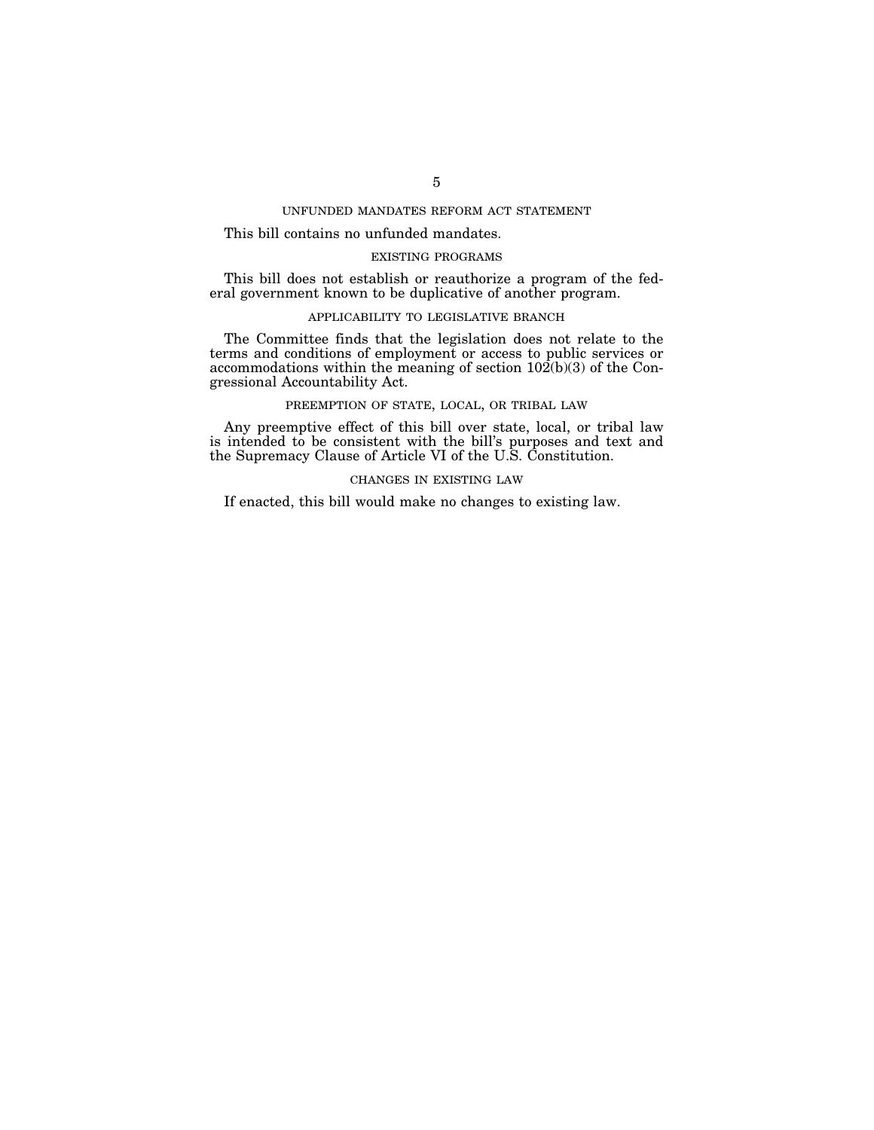# UNFUNDED MANDATES REFORM ACT STATEMENT

# This bill contains no unfunded mandates.

# EXISTING PROGRAMS

This bill does not establish or reauthorize a program of the federal government known to be duplicative of another program.

# APPLICABILITY TO LEGISLATIVE BRANCH

The Committee finds that the legislation does not relate to the terms and conditions of employment or access to public services or accommodations within the meaning of section 102(b)(3) of the Congressional Accountability Act.

# PREEMPTION OF STATE, LOCAL, OR TRIBAL LAW

Any preemptive effect of this bill over state, local, or tribal law is intended to be consistent with the bill's purposes and text and the Supremacy Clause of Article VI of the U.S. Constitution.

# CHANGES IN EXISTING LAW

If enacted, this bill would make no changes to existing law.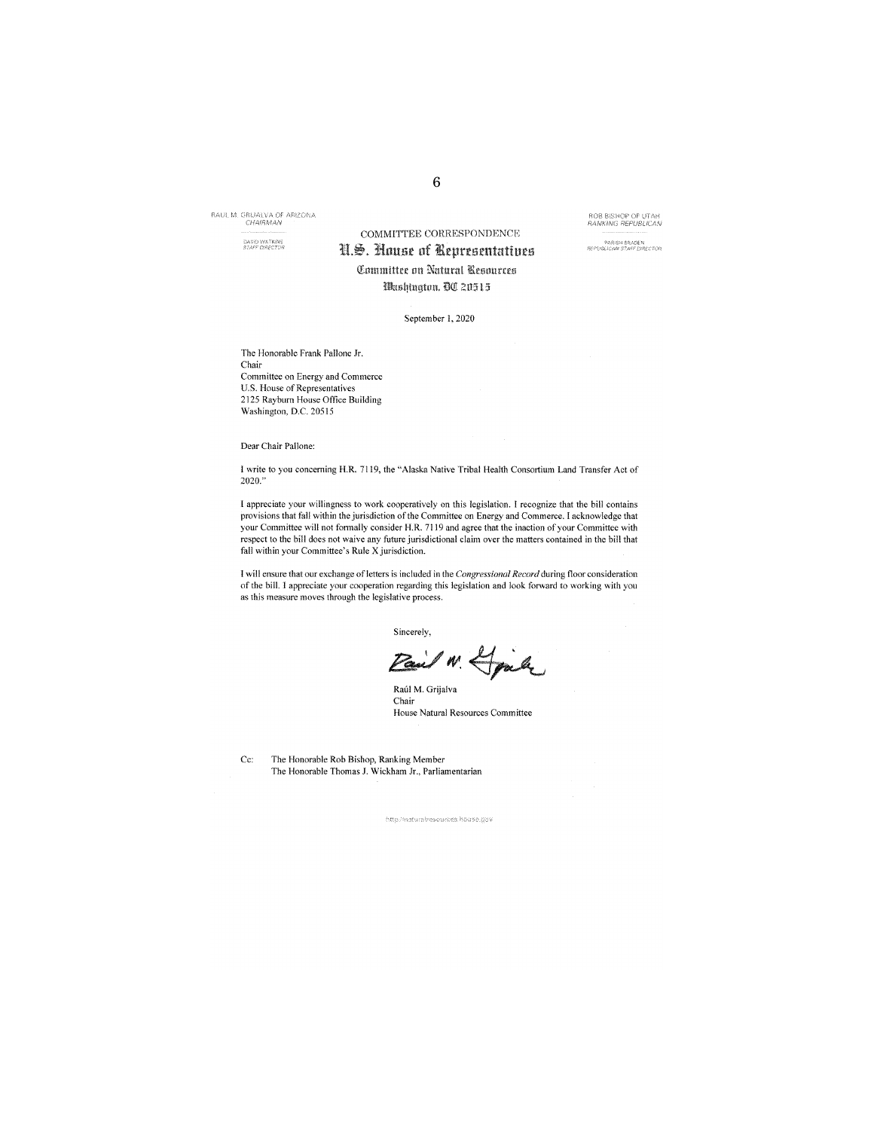RAUL M. GRUALVA OF ARIZONA

**DAVID WATKINS**<br>STAFF (NRECTOR

# COMMITTEE CORRESPONDENCE N.S. House of Representatives Committee on Natural Resources Washington, OC 20515

**ROB BISHOP OF UTAH**<br>RANKING REPUBLICAN

.<br>PARISH BRADEN<br>REPUBLICAN STAFE DIRECTOR

September 1, 2020

The Honorable Frank Pallone Jr. Chair Committee on Energy and Commerce U.S. House of Representatives 2125 Rayburn House Office Building Washington, D.C. 20515

Dear Chair Pallone:

I write to you concerning H.R. 7119, the "Alaska Native Tribal Health Consortium Land Transfer Act of 2020.

I appreciate your willingness to work cooperatively on this legislation. I recognize that the bill contains provisions that fall within the jurisdiction of the Committee on Energy and Commerce. I acknowledge that your Committee will not formally consider H.R. 7119 and agree that the inaction of your Committee with respect to the bill does not waive any future jurisdictional claim over the matters contained in the bill that fall within your Committee's Rule X jurisdiction.

I will ensure that our exchange of letters is included in the Congressional Record during floor consideration of the bill. I appreciate your cooperation regarding this legislation and look forward to working with you as this measure moves through the legislative process.

Sincerely,

Pail N. Hjale

Raúl M. Grijalva Chair House Natural Resources Committee

Ce:

The Honorable Rob Bishop, Ranking Member The Honorable Thomas J. Wickham Jr., Parliamentarian

http://natural/escurces.house.gov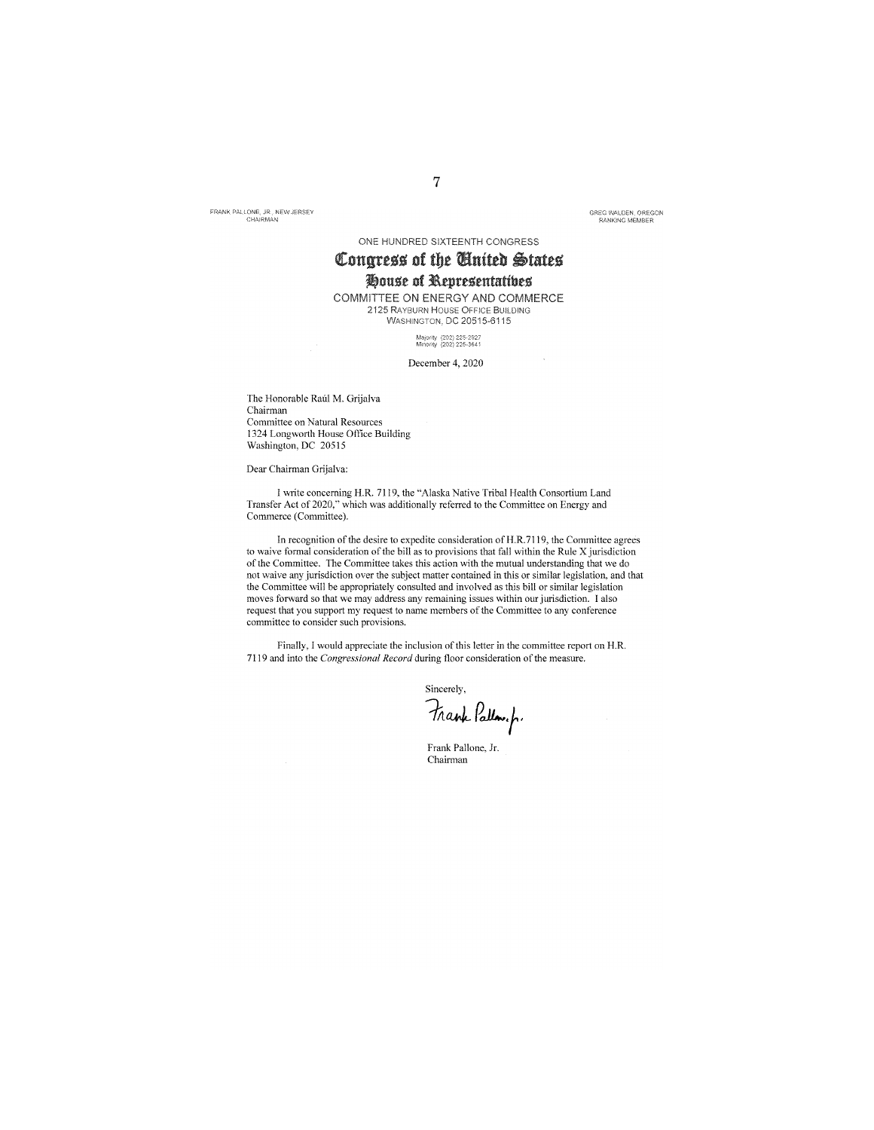FRANK PALLONE, JR., NEW JERSEY

GREG WALDEN, OREGON<br>RANKING MEMBER

ONE HUNDRED SIXTEENTH CONGRESS

# Congress of the United States

# House of Representatives

COMMITTEE ON ENERGY AND COMMERCE 2125 RAYBURN HOUSE OFFICE BUILDING WASHINGTON, DC 20515-6115

Majority (202) 225-2927<br>Minority (202) 225-3641

### December 4, 2020

The Honorable Raúl M. Grijalva Chairman Committee on Natural Resources 1324 Longworth House Office Building Washington, DC 20515

Dear Chairman Grijalva:

I write concerning H.R. 7119, the "Alaska Native Tribal Health Consortium Land Transfer Act of 2020," which was additionally referred to the Committee on Energy and Commerce (Committee).

In recognition of the desire to expedite consideration of H.R.7119, the Committee agrees to waive formal consideration of the bill as to provisions that fall within the Rule X jurisdiction of the Committee. The Committee takes this action with the mutual understanding that we do not waive any jurisdiction over the subject matter contained in this or similar legislation, and that the Committee will be appropriately consulted and involved as this bill or similar legislation moves forward so that we may address any remaining issues within our jurisdiction. I also request that you support my request to name members of the Committee to any conference committee to consider such provisions.

Finally, I would appreciate the inclusion of this letter in the committee report on H.R. 7119 and into the Congressional Record during floor consideration of the measure.

Sincerely,

Frank Pallow.fr

Frank Pallone, Jr. Chairman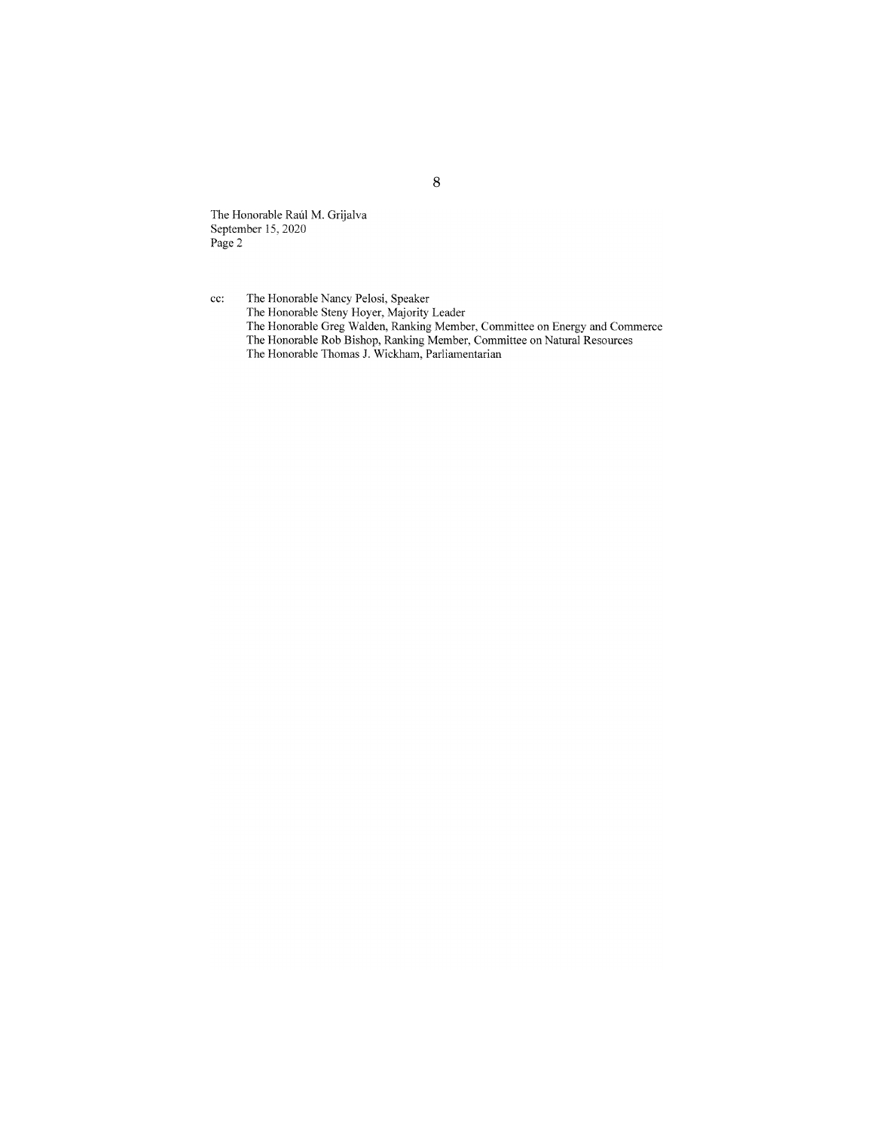The Honorable Raúl M. Grijalva<br>September 15, 2020<br>Page 2

The Honorable Nancy Pelosi, Speaker<br>The Honorable Steny Hoyer, Majority Leader<br>The Honorable Greg Walden, Ranking Member, Committee on Energy and Commerce<br>The Honorable Rob Bishop, Ranking Member, Committee on Natural Reso  $cc:$ 

8